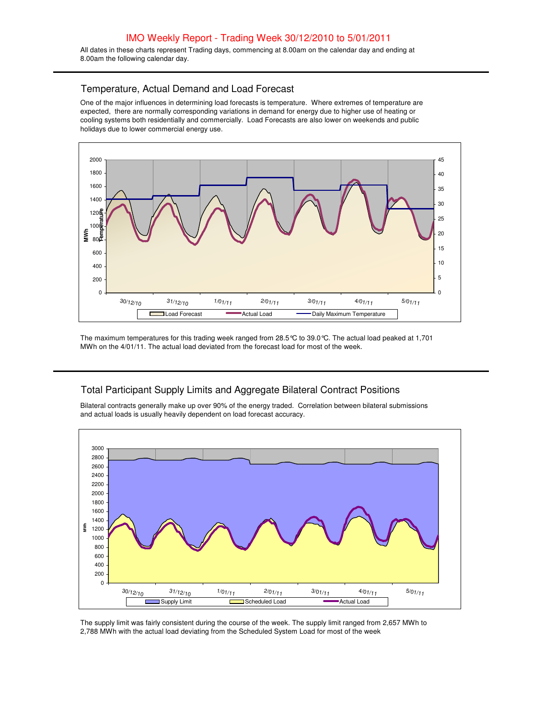All dates in these charts represent Trading days, commencing at 8.00am on the calendar day and ending at 8.00am the following calendar day.

## Temperature, Actual Demand and Load Forecast

One of the major influences in determining load forecasts is temperature. Where extremes of temperature are expected, there are normally corresponding variations in demand for energy due to higher use of heating or cooling systems both residentially and commercially. Load Forecasts are also lower on weekends and public holidays due to lower commercial energy use.



The maximum temperatures for this trading week ranged from 28.5°C to 39.0°C. The actual load peaked at 1,701 MWh on the 4/01/11. The actual load deviated from the forecast load for most of the week.

## Total Participant Supply Limits and Aggregate Bilateral Contract Positions

Bilateral contracts generally make up over 90% of the energy traded. Correlation between bilateral submissions and actual loads is usually heavily dependent on load forecast accuracy.



The supply limit was fairly consistent during the course of the week. The supply limit ranged from 2,657 MWh to 2,788 MWh with the actual load deviating from the Scheduled System Load for most of the week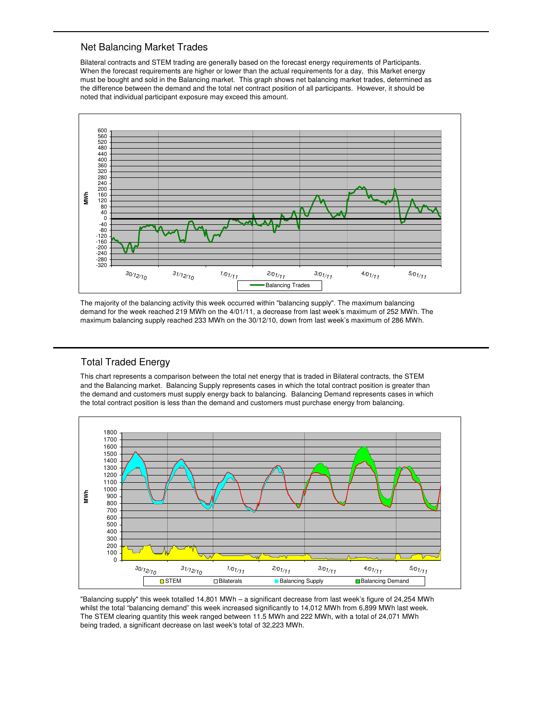#### Net Balancing Market Trades

Bilateral contracts and STEM trading are generally based on the forecast energy requirements of Participants. When the forecast requirements are higher or lower than the actual requirements for a day, this Market energy must be bought and sold in the Balancing market. This graph shows net balancing market trades, determined as the difference between the demand and the total net contract position of all participants. However, it should be noted that individual participant exposure may exceed this amount.



The majority of the balancing activity this week occurred within "balancing supply". The maximum balancing demand for the week reached 219 MWh on the 4/01/11, a decrease from last week's maximum of 252 MWh. The maximum balancing supply reached 233 MWh on the 30/12/10, down from last week's maximum of 286 MWh.

## Total Traded Energy

This chart represents a comparison between the total net energy that is traded in Bilateral contracts, the STEM and the Balancing market. Balancing Supply represents cases in which the total contract position is greater than the demand and customers must supply energy back to balancing. Balancing Demand represents cases in which the total contract position is less than the demand and customers must purchase energy from balancing.



"Balancing supply" this week totalled 14,801 MWh – a significant decrease from last week's figure of 24,254 MWh whilst the total "balancing demand" this week increased significantly to 14,012 MWh from 6,899 MWh last week. The STEM clearing quantity this week ranged between 11.5 MWh and 222 MWh, with a total of 24,071 MWh being traded, a significant decrease on last week's total of 32,223 MWh.